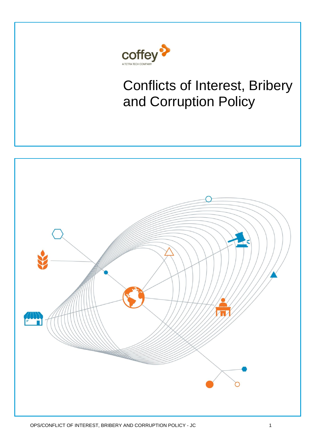

# Conflicts of Interest, Bribery and Corruption Policy

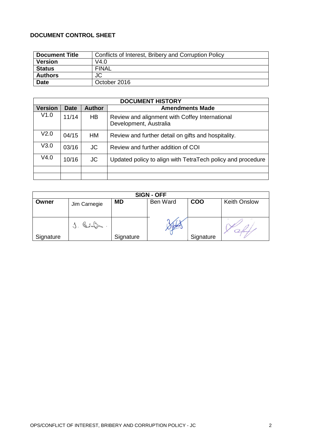#### **DOCUMENT CONTROL SHEET**

| <b>Document Title</b> | Conflicts of Interest, Bribery and Corruption Policy |
|-----------------------|------------------------------------------------------|
| <b>Version</b>        | V4.0                                                 |
| <b>Status</b>         | <b>FINAL</b>                                         |
| <b>Authors</b>        | JC                                                   |
| <b>Date</b>           | October 2016                                         |

| <b>DOCUMENT HISTORY</b> |             |               |                                                                          |  |  |  |  |
|-------------------------|-------------|---------------|--------------------------------------------------------------------------|--|--|--|--|
| <b>Version</b>          | <b>Date</b> | <b>Author</b> | <b>Amendments Made</b>                                                   |  |  |  |  |
| V1.0                    | 11/14       | HB.           | Review and alignment with Coffey International<br>Development, Australia |  |  |  |  |
| V <sub>2.0</sub>        | 04/15       | HM            | Review and further detail on gifts and hospitality.                      |  |  |  |  |
| V3.0                    | 03/16       | JC.           | Review and further addition of COI                                       |  |  |  |  |
| V4.0                    | 10/16       | JC            | Updated policy to align with TetraTech policy and procedure              |  |  |  |  |
|                         |             |               |                                                                          |  |  |  |  |
|                         |             |               |                                                                          |  |  |  |  |

| <b>SIGN - OFF</b> |              |           |                 |            |                     |  |  |
|-------------------|--------------|-----------|-----------------|------------|---------------------|--|--|
| Owner             | Jim Carnegie | <b>MD</b> | <b>Ben Ward</b> | <b>COO</b> | <b>Keith Onslow</b> |  |  |
|                   | $J.$ behome. |           |                 |            |                     |  |  |
| Signature         |              | Signature |                 | Signature  |                     |  |  |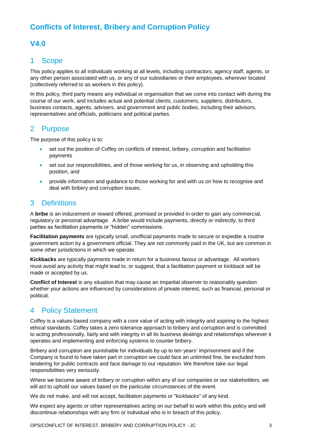## **Conflicts of Interest, Bribery and Corruption Policy**

## **V4.0**

## 1 Scope

This policy applies to all individuals working at all levels, including contractors, agency staff, agents, or any other person associated with us, or any of our subsidiaries or their employees, wherever located (collectively referred to as workers in this policy).

In this policy, third party means any individual or organisation that we come into contact with during the course of our work, and includes actual and potential clients, customers, suppliers, distributors, business contacts, agents, advisers, and government and public bodies, including their advisors, representatives and officials, politicians and political parties.

## 2 Purpose

The purpose of this policy is to:

- set out the position of Coffey on conflicts of interest, bribery, corruption and facilitation payments
- set out our responsibilities, and of those working for us, in observing and upholding this position, and
- provide information and guidance to those working for and with us on how to recognise and deal with bribery and corruption issues.

## 3 Definitions

A **bribe** is an inducement or reward offered, promised or provided in order to gain any commercial, regulatory or personal advantage. A bribe would include payments, directly or indirectly, to third parties as facilitation payments or "hidden" commissions.

**Facilitation payments** are typically small, unofficial payments made to secure or expedite a routine government action by a government official. They are not commonly paid in the UK, but are common in some other jurisdictions in which we operate.

**Kickbacks** are typically payments made in return for a business favour or advantage. All workers must avoid any activity that might lead to, or suggest, that a facilitation payment or kickback will be made or accepted by us.

**Conflict of Interest** is any situation that may cause an impartial observer to reasonably question whether your actions are influenced by considerations of private interest, such as financial, personal or political.

## 4 Policy Statement

Coffey is a values-based company with a core value of acting with integrity and aspiring to the highest ethical standards. Coffey takes a zero tolerance approach to bribery and corruption and is committed to acting professionally, fairly and with integrity in all its business dealings and relationships wherever it operates and implementing and enforcing systems to counter bribery.

Bribery and corruption are punishable for individuals by up to ten years' imprisonment and if the Company is found to have taken part in corruption we could face an unlimited fine, be excluded from tendering for public contracts and face damage to our reputation. We therefore take our legal responsibilities very seriously.

Where we become aware of bribery or corruption within any of our companies or our stakeholders, we will act to uphold our values based on the particular circumstances of the event.

We do not make, and will not accept, facilitation payments or "kickbacks" of any kind.

We expect any agents or other representatives acting on our behalf to work within this policy and will discontinue relationships with any firm or individual who is in breach of this policy.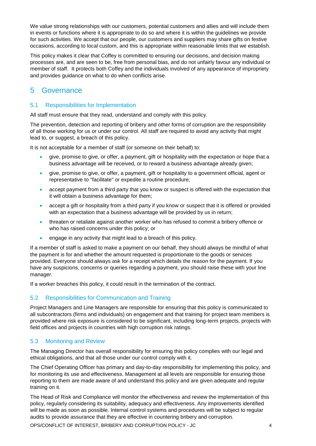We value strong relationships with our customers, potential customers and allies and will include them in events or functions where it is appropriate to do so and where it is within the guidelines we provide for such activities. We accept that our people, our customers and suppliers may share gifts on festive occasions, according to local custom, and this is appropriate within reasonable limits that we establish.

This policy makes it clear that Coffey is committed to ensuring our decisions, and decision making processes are, and are seen to be, free from personal bias, and do not unfairly favour any individual or member of staff. It protects both Coffey and the individuals involved of any appearance of impropriety and provides guidance on what to do when conflicts arise.

## 5 Governance

#### 5.1 Responsibilities for Implementation

All staff must ensure that they read, understand and comply with this policy.

The prevention, detection and reporting of bribery and other forms of corruption are the responsibility of all those working for us or under our control. All staff are required to avoid any activity that might lead to, or suggest, a breach of this policy.

It is not acceptable for a member of staff (or someone on their behalf) to:

- give, promise to give, or offer, a payment, gift or hospitality with the expectation or hope that a business advantage will be received, or to reward a business advantage already given;
- give, promise to give, or offer, a payment, gift or hospitality to a government official, agent or representative to "facilitate" or expedite a routine procedure;
- accept payment from a third party that you know or suspect is offered with the expectation that it will obtain a business advantage for them;
- accept a gift or hospitality from a third party if you know or suspect that it is offered or provided with an expectation that a business advantage will be provided by us in return;
- threaten or retaliate against another worker who has refused to commit a bribery offence or who has raised concerns under this policy; or
- engage in any activity that might lead to a breach of this policy.

If a member of staff is asked to make a payment on our behalf, they should always be mindful of what the payment is for and whether the amount requested is proportionate to the goods or services provided. Everyone should always ask for a receipt which details the reason for the payment. If you have any suspicions, concerns or queries regarding a payment, you should raise these with your line manager.

If a worker breaches this policy, it could result in the termination of the contract.

#### 5.2 Responsibilities for Communication and Training

Project Managers and Line Managers are responsible for ensuring that this policy is communicated to all subcontractors (firms and individuals) on engagement and that training for project team members is provided where risk exposure is considered to be significant, including long-term projects, projects with field offices and projects in countries with high corruption risk ratings.

#### 5.3 Monitoring and Review

The Managing Director has overall responsibility for ensuring this policy complies with our legal and ethical obligations, and that all those under our control comply with it.

The Chief Operating Officer has primary and day-to-day responsibility for implementing this policy, and for monitoring its use and effectiveness. Management at all levels are responsible for ensuring those reporting to them are made aware of and understand this policy and are given adequate and regular training on it.

The Head of Risk and Compliance will monitor the effectiveness and review the implementation of this policy, regularly considering its suitability, adequacy and effectiveness. Any improvements identified will be made as soon as possible. Internal control systems and procedures will be subject to regular audits to provide assurance that they are effective in countering bribery and corruption.

OPS/CONFLICT OF INTEREST, BRIBERY AND CORRUPTION POLICY - JC 4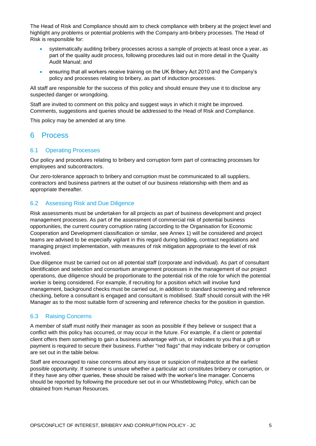The Head of Risk and Compliance should aim to check compliance with bribery at the project level and highlight any problems or potential problems with the Company anti-bribery processes. The Head of Risk is responsible for:

- systematically auditing bribery processes across a sample of projects at least once a year, as part of the quality audit process, following procedures laid out in more detail in the Quality Audit Manual; and
- ensuring that all workers receive training on the UK Bribery Act 2010 and the Company's policy and processes relating to bribery, as part of induction processes.

All staff are responsible for the success of this policy and should ensure they use it to disclose any suspected danger or wrongdoing.

Staff are invited to comment on this policy and suggest ways in which it might be improved. Comments, suggestions and queries should be addressed to the Head of Risk and Compliance.

This policy may be amended at any time.

## 6 Process

#### 6.1 Operating Processes

Our policy and procedures relating to bribery and corruption form part of contracting processes for employees and subcontractors.

Our zero-tolerance approach to bribery and corruption must be communicated to all suppliers, contractors and business partners at the outset of our business relationship with them and as appropriate thereafter.

#### 6.2 Assessing Risk and Due Diligence

Risk assessments must be undertaken for all projects as part of business development and project management processes. As part of the assessment of commercial risk of potential business opportunities, the current country corruption rating (according to the Organisation for Economic Cooperation and Development classification or similar, see Annex 1) will be considered and project teams are advised to be especially vigilant in this regard during bidding, contract negotiations and managing project implementation, with measures of risk mitigation appropriate to the level of risk involved.

Due diligence must be carried out on all potential staff (corporate and individual). As part of consultant identification and selection and consortium arrangement processes in the management of our project operations, due diligence should be proportionate to the potential risk of the role for which the potential worker is being considered. For example, if recruiting for a position which will involve fund management, background checks must be carried out, in addition to standard screening and reference checking, before a consultant is engaged and consultant is mobilised. Staff should consult with the HR Manager as to the most suitable form of screening and reference checks for the position in question.

#### 6.3 Raising Concerns

A member of staff must notify their manager as soon as possible if they believe or suspect that a conflict with this policy has occurred, or may occur in the future. For example, if a client or potential client offers them something to gain a business advantage with us, or indicates to you that a gift or payment is required to secure their business. Further "red flags" that may indicate bribery or corruption are set out in the table below.

Staff are encouraged to raise concerns about any issue or suspicion of malpractice at the earliest possible opportunity. If someone is unsure whether a particular act constitutes bribery or corruption, or if they have any other queries, these should be raised with the worker's line manager. Concerns should be reported by following the procedure set out in our Whistleblowing Policy, which can be obtained from Human Resources.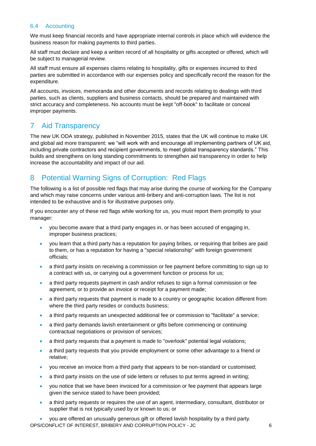#### 6.4 Accounting

We must keep financial records and have appropriate internal controls in place which will evidence the business reason for making payments to third parties.

All staff must declare and keep a written record of all hospitality or gifts accepted or offered, which will be subject to managerial review.

All staff must ensure all expenses claims relating to hospitality, gifts or expenses incurred to third parties are submitted in accordance with our expenses policy and specifically record the reason for the expenditure.

All accounts, invoices, memoranda and other documents and records relating to dealings with third parties, such as clients, suppliers and business contacts, should be prepared and maintained with strict accuracy and completeness. No accounts must be kept "off-book" to facilitate or conceal improper payments.

## 7 Aid Transparency

The new UK ODA strategy, published in November 2015, states that the UK will continue to make UK and global aid more transparent: we "will work with and encourage all implementing partners of UK aid, including private contractors and recipient governments, to meet global transparency standards." This builds and strengthens on long standing commitments to strengthen aid transparency in order to help increase the accountability and impact of our aid.

## 8 Potential Warning Signs of Corruption: Red Flags

The following is a list of possible red flags that may arise during the course of working for the Company and which may raise concerns under various anti-bribery and anti-corruption laws. The list is not intended to be exhaustive and is for illustrative purposes only.

If you encounter any of these red flags while working for us, you must report them promptly to your manager:

- you become aware that a third party engages in, or has been accused of engaging in, improper business practices;
- you learn that a third party has a reputation for paying bribes, or requiring that bribes are paid to them, or has a reputation for having a "special relationship" with foreign government officials;
- a third party insists on receiving a commission or fee payment before committing to sign up to a contract with us, or carrying out a government function or process for us;
- a third party requests payment in cash and/or refuses to sign a formal commission or fee agreement, or to provide an invoice or receipt for a payment made;
- a third party requests that payment is made to a country or geographic location different from where the third party resides or conducts business;
- a third party requests an unexpected additional fee or commission to "facilitate" a service:
- a third party demands lavish entertainment or gifts before commencing or continuing contractual negotiations or provision of services;
- a third party requests that a payment is made to "overlook" potential legal violations:
- a third party requests that you provide employment or some other advantage to a friend or relative;
- you receive an invoice from a third party that appears to be non-standard or customised;
- a third party insists on the use of side letters or refuses to put terms agreed in writing;
- you notice that we have been invoiced for a commission or fee payment that appears large given the service stated to have been provided;
- a third party requests or requires the use of an agent, intermediary, consultant, distributor or supplier that is not typically used by or known to us; or
- OPS/CONFLICT OF INTEREST, BRIBERY AND CORRUPTION POLICY JC 6 • you are offered an unusually generous gift or offered lavish hospitality by a third party.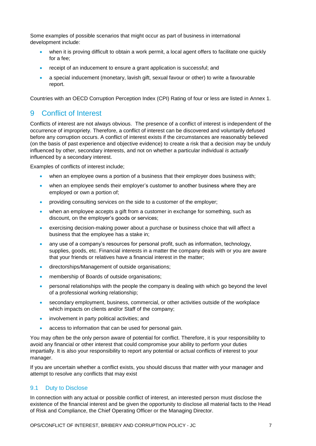Some examples of possible scenarios that might occur as part of business in international development include:

- when it is proving difficult to obtain a work permit, a local agent offers to facilitate one quickly for a fee;
- receipt of an inducement to ensure a grant application is successful; and
- a special inducement (monetary, lavish gift, sexual favour or other) to write a favourable report.

Countries with an OECD Corruption Perception Index (CPI) Rating of four or less are listed in Annex 1.

## 9 Conflict of Interest

Conflicts of interest are not always obvious. The presence of a conflict of interest is independent of the occurrence of [impropriety.](https://en.wikipedia.org/wiki/Inappropriateness) Therefore, a conflict of interest can be discovered and voluntarily defused before any [corruption](https://en.wikipedia.org/wiki/Corruption) occurs. A conflict of interest exists if the circumstances are reasonably believed (on the basis of past experience and objective evidence) to create a risk that a decision *may* be unduly influenced by other, secondary interests, and not on whether a particular individual *is actually* influenced by a secondary interest.

Examples of conflicts of interest include;

- when an employee owns a portion of a business that their employer does business with;
- when an employee sends their employer's customer to another business where they are employed or own a portion of;
- providing consulting services on the side to a customer of the employer;
- when an employee accepts a gift from a customer in exchange for something, such as discount, on the employer's goods or services;
- exercising decision-making power about a purchase or business choice that will affect a business that the employee has a stake in;
- any use of a company's resources for personal profit, such as information, technology, supplies, goods, etc. Financial interests in a matter the company deals with or you are aware that your friends or relatives have a financial interest in the matter;
- directorships/Management of outside organisations;
- membership of Boards of outside organisations;
- personal relationships with the people the company is dealing with which go beyond the level of a professional working relationship;
- secondary employment, business, commercial, or other activities outside of the workplace which impacts on clients and/or Staff of the company;
- involvement in party political activities; and
- access to information that can be used for personal gain.

You may often be the only person aware of potential for conflict. Therefore, it is your responsibility to avoid any financial or other interest that could compromise your ability to perform your duties impartially. It is also your responsibility to report any potential or actual conflicts of interest to your manager.

If you are uncertain whether a conflict exists, you should discuss that matter with your manager and attempt to resolve any conflicts that may exist

#### 9.1 Duty to Disclose

In connection with any actual or possible conflict of interest, an interested person must disclose the existence of the financial interest and be given the opportunity to disclose all material facts to the Head of Risk and Compliance, the Chief Operating Officer or the Managing Director.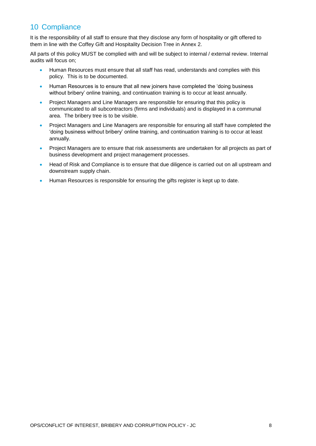## 10 Compliance

It is the responsibility of all staff to ensure that they disclose any form of hospitality or gift offered to them in line with the Coffey Gift and Hospitality Decision Tree in Annex 2.

All parts of this policy MUST be complied with and will be subject to internal / external review. Internal audits will focus on;

- Human Resources must ensure that all staff has read, understands and complies with this policy. This is to be documented.
- Human Resources is to ensure that all new joiners have completed the 'doing business without bribery' online training, and continuation training is to occur at least annually.
- Project Managers and Line Managers are responsible for ensuring that this policy is communicated to all subcontractors (firms and individuals) and is displayed in a communal area. The bribery tree is to be visible.
- Project Managers and Line Managers are responsible for ensuring all staff have completed the 'doing business without bribery' online training, and continuation training is to occur at least annually.
- Project Managers are to ensure that risk assessments are undertaken for all projects as part of business development and project management processes.
- Head of Risk and Compliance is to ensure that due diligence is carried out on all upstream and downstream supply chain.
- Human Resources is responsible for ensuring the gifts register is kept up to date.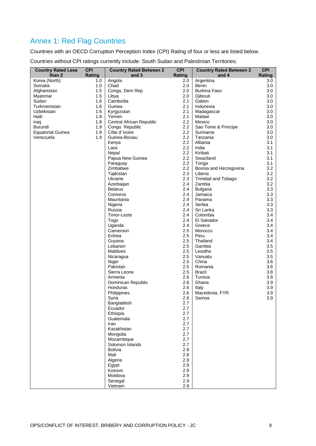# Annex 1: Red Flag Countries

Countries with an OECD Corruption Perception Index (CPI) Rating of four or less are listed below.

Countries without CPI ratings currently include: South Sudan and Palestinian Territories.

| <b>Country Rated Less</b><br>than 2 | <b>CPI</b><br>Rating | <b>Country Rated Between 2</b><br>and 3 | <b>CPI</b><br>Rating | <b>Country Rated Between 3</b><br>and 4 | <b>CPI</b><br>Rating |
|-------------------------------------|----------------------|-----------------------------------------|----------------------|-----------------------------------------|----------------------|
| Korea (North)                       | 1.0                  | Angola                                  | 2.0                  | Argentina                               | 3.0                  |
| Somalia                             | 1.0                  | Chad                                    | 2.0                  | Benin                                   | 3.0                  |
| Afghanistan                         | 1.5                  | Congo, Dem Rep                          | 2.0                  | <b>Burkina Faso</b>                     | 3.0                  |
| Myanmar                             | 1.5                  | Libya                                   | 2.0                  | Djibouti                                | 3.0                  |
| Sudan                               | 1.6                  | Cambodia                                | 2.1                  | Gabon                                   | 3.0                  |
| Turkmenistan                        | 1.6                  | Guinea                                  | 2.1                  | Indonesia                               | 3.0                  |
| Uzbekistan                          | 1.6                  | Kyrgyzstan                              | 2.1                  | Madagascar                              | 3.0                  |
| Haiti                               | 1.8                  | Yemen                                   | 2.1                  | Malawi                                  | 3.0                  |
| Iraq                                | 1.8                  | Central African Republic                | 2.2                  | Mexico                                  | 3.0                  |
| Burundi                             | 1.9                  | Congo Republic                          | 2.2                  | Sao Tome & Principe                     | 3.0                  |
| <b>Equatorial Guinea</b>            | 1.9                  | Côte d'Ivoire                           | 2.2                  | Suriname                                | 3.0                  |
| Venezuela                           | 1.9                  | Guinea-Bissau                           | 2.2                  | Tanzania                                | 3.0                  |
|                                     |                      | Kenya                                   | 2.2                  | Albania                                 | 3.1                  |
|                                     |                      | Laos                                    | 2.2                  | India                                   | 3.1                  |
|                                     |                      | Nepal                                   | 2.2                  | Kiribati                                | 3.1                  |
|                                     |                      | Papua New Guinea                        | 2.2                  | Swaziland                               | 3.1                  |
|                                     |                      | Paraguay                                | 2.2                  | Tonga                                   | 3.1                  |
|                                     |                      | Zimbabwe                                | 2.2                  | Bosnia and Herzegovina                  | 3.2                  |
|                                     |                      | Tajikistan                              | 2.3                  | Liberia                                 | 3.2                  |
|                                     |                      | Ukraine                                 | 2.3                  | <b>Trinidad and Tobago</b>              | 3.2                  |
|                                     |                      | Azerbaijan                              | 2.4                  | Zambia                                  | 3.2                  |
|                                     |                      | Belarus                                 | 2.4                  | <b>Bulgaria</b>                         | 3.3                  |
|                                     |                      | Comoros                                 | 2.4                  | Jamaica                                 | 3.3                  |
|                                     |                      | Mauritania                              | 2.4                  | Panama                                  | 3.3                  |
|                                     |                      | Nigeria                                 | 2.4                  | Serbia                                  | 3.3                  |
|                                     |                      | Russia                                  | 2.4                  | Sri Lanka                               | 3.3                  |
|                                     |                      | Timor-Leste                             | 2.4                  | Colombia                                | 3.4                  |
|                                     |                      | Togo                                    | 2.4                  | El Salvador                             | 3.4                  |
|                                     |                      | Uganda                                  | 2.4                  | Greece                                  | 3.4                  |
|                                     |                      | Cameroon                                | 2.5                  | Morocco                                 | 3.4                  |
|                                     |                      | Eritrea                                 | 2.5                  | Peru                                    | 3.4                  |
|                                     |                      | Guyana                                  | 2.5                  | Thailand                                | 3.4                  |
|                                     |                      | Lebanon                                 | 2.5                  | Gambia                                  | 3.5                  |
|                                     |                      | Maldives                                | 2.5                  | Lesotho                                 | 3.5                  |
|                                     |                      | Nicaragua                               | 2.5                  | Vanuatu                                 | 3.5                  |
|                                     |                      | Niger                                   | 2.5                  | China                                   | 3.6                  |
|                                     |                      | Pakistan                                | 2.5                  | Romania                                 | 3.6                  |
|                                     |                      | Sierra Leone                            | 2.5                  | Brazil                                  | 3.8                  |
|                                     |                      | Armenia                                 | 2.6                  | Tunisia                                 | 3.8                  |
|                                     |                      | Dominican Republic                      | 2.6                  | Ghana                                   | 3.9                  |
|                                     |                      | Honduras                                | 2.6                  | Italy                                   | 3.9                  |
|                                     |                      | Philippines                             | 2.6                  | Macedonia, FYR                          | 3.9                  |
|                                     |                      | Syria                                   | 2.6                  | Samoa                                   | 3.9                  |
|                                     |                      | Bangladesh                              | 2.7                  |                                         |                      |
|                                     |                      | Ecuador                                 | 2.7                  |                                         |                      |
|                                     |                      | Ethiopia                                | 2.7                  |                                         |                      |
|                                     |                      | Guatemala                               | 2.7                  |                                         |                      |
|                                     |                      | Iran                                    | 2.7                  |                                         |                      |
|                                     |                      | Kazakhstan                              | 2.7                  |                                         |                      |
|                                     |                      | Mongolia                                | 2.7                  |                                         |                      |
|                                     |                      | Mozambique                              | 2.7                  |                                         |                      |
|                                     |                      | Solomon Islands                         | 2.7                  |                                         |                      |
|                                     |                      | <b>Bolivia</b>                          | 2.8                  |                                         |                      |
|                                     |                      | Mali                                    | 2.8                  |                                         |                      |
|                                     |                      | Algeria                                 | 2.9                  |                                         |                      |
|                                     |                      | Egypt                                   | 2.9                  |                                         |                      |
|                                     |                      | Kosovo                                  | 2.9                  |                                         |                      |
|                                     |                      | Moldova                                 | 2.9                  |                                         |                      |
|                                     |                      | Senegal                                 | 2.9                  |                                         |                      |
|                                     |                      | Vietnam                                 | 2.9                  |                                         |                      |